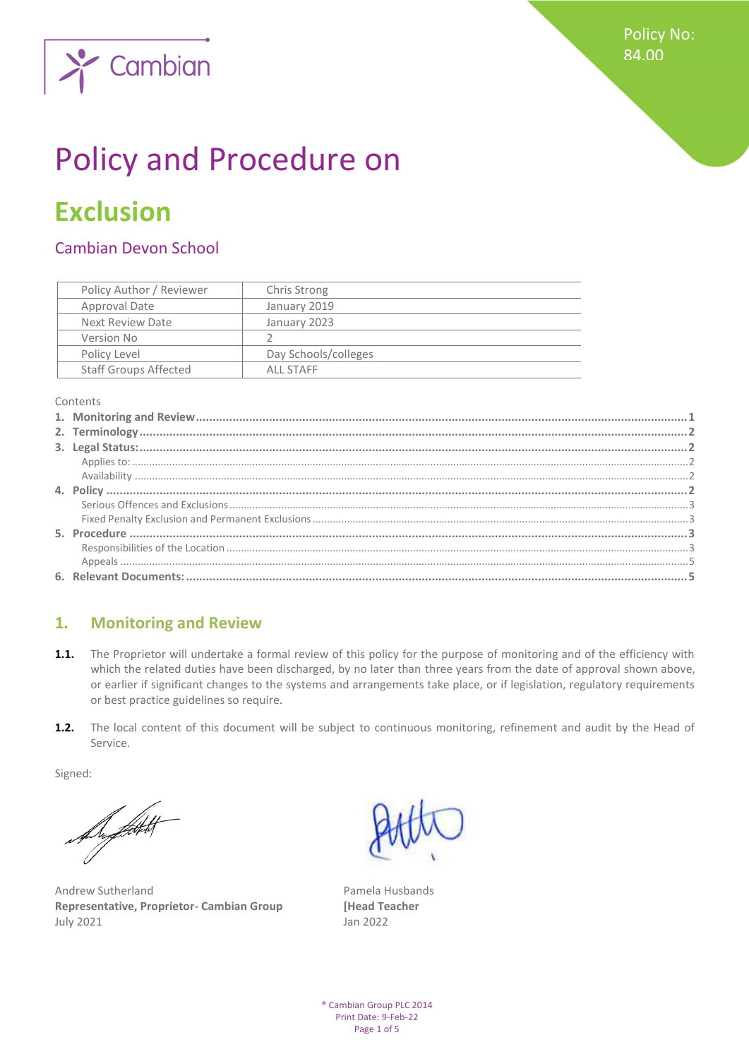

# Policy and Procedure on

# **Exclusion**

# Cambian Devon School

| Policy Author / Reviewer     | Chris Strong         |
|------------------------------|----------------------|
| Approval Date                | January 2019         |
| Next Review Date             | January 2023         |
| Version No                   |                      |
| Policy Level                 | Day Schools/colleges |
| <b>Staff Groups Affected</b> | ALL STAFF            |

Contents

# <span id="page-0-0"></span>**1. Monitoring and Review**

- **1.1.** The Proprietor will undertake a formal review of this policy for the purpose of monitoring and of the efficiency with which the related duties have been discharged, by no later than three years from the date of approval shown above, or earlier if significant changes to the systems and arrangements take place, or if legislation, regulatory requirements or best practice guidelines so require.
- **1.2.** The local content of this document will be subject to continuous monitoring, refinement and audit by the Head of Service.

Signed:

flyfeith

Andrew Sutherland **Pamela Husbands Representative, Proprietor- Cambian Group [Head Teacher** July 2021 Jan 2022

® Cambian Group PLC 2014 Print Date: 9-Feb-22 Page 1 of 5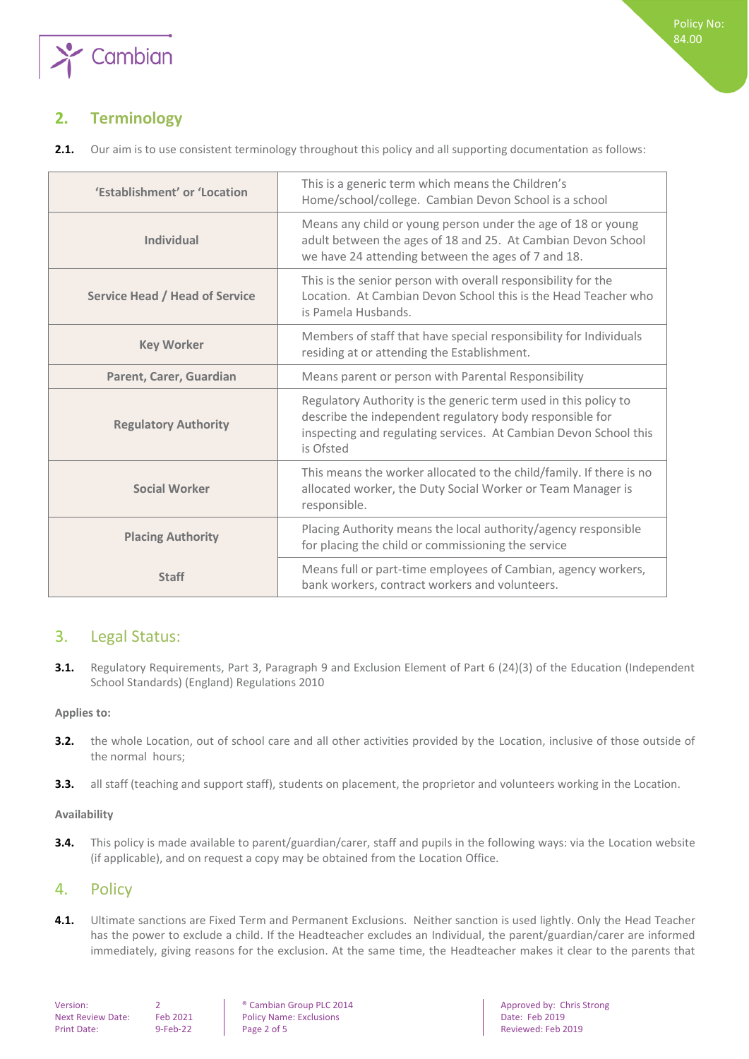

# <span id="page-1-0"></span>**2. Terminology**

|  |  | 2.1. Our aim is to use consistent terminology throughout this policy and all supporting documentation as follows: |  |  |  |  |
|--|--|-------------------------------------------------------------------------------------------------------------------|--|--|--|--|
|--|--|-------------------------------------------------------------------------------------------------------------------|--|--|--|--|

| 'Establishment' or 'Location   | This is a generic term which means the Children's<br>Home/school/college. Cambian Devon School is a school                                                                                                   |
|--------------------------------|--------------------------------------------------------------------------------------------------------------------------------------------------------------------------------------------------------------|
| <b>Individual</b>              | Means any child or young person under the age of 18 or young<br>adult between the ages of 18 and 25. At Cambian Devon School<br>we have 24 attending between the ages of 7 and 18.                           |
| Service Head / Head of Service | This is the senior person with overall responsibility for the<br>Location. At Cambian Devon School this is the Head Teacher who<br>is Pamela Husbands.                                                       |
| <b>Key Worker</b>              | Members of staff that have special responsibility for Individuals<br>residing at or attending the Establishment.                                                                                             |
| Parent, Carer, Guardian        | Means parent or person with Parental Responsibility                                                                                                                                                          |
| <b>Regulatory Authority</b>    | Regulatory Authority is the generic term used in this policy to<br>describe the independent regulatory body responsible for<br>inspecting and regulating services. At Cambian Devon School this<br>is Ofsted |
| <b>Social Worker</b>           | This means the worker allocated to the child/family. If there is no<br>allocated worker, the Duty Social Worker or Team Manager is<br>responsible.                                                           |
| <b>Placing Authority</b>       | Placing Authority means the local authority/agency responsible<br>for placing the child or commissioning the service                                                                                         |
| <b>Staff</b>                   | Means full or part-time employees of Cambian, agency workers,<br>bank workers, contract workers and volunteers.                                                                                              |

# <span id="page-1-1"></span>3. Legal Status:

**3.1.** Regulatory Requirements, Part 3, Paragraph 9 and Exclusion Element of Part 6 (24)(3) of the Education (Independent School Standards) (England) Regulations 2010

#### <span id="page-1-2"></span>**Applies to:**

- **3.2.** the whole Location, out of school care and all other activities provided by the Location, inclusive of those outside of the normal hours;
- <span id="page-1-3"></span>**3.3.** all staff (teaching and support staff), students on placement, the proprietor and volunteers working in the Location.

#### **Availability**

**3.4.** This policy is made available to parent/guardian/carer, staff and pupils in the following ways: via the Location website (if applicable), and on request a copy may be obtained from the Location Office.

## <span id="page-1-4"></span>4. Policy

**4.1.** Ultimate sanctions are Fixed Term and Permanent Exclusions. Neither sanction is used lightly. Only the Head Teacher has the power to exclude a child. If the Headteacher excludes an Individual, the parent/guardian/carer are informed immediately, giving reasons for the exclusion. At the same time, the Headteacher makes it clear to the parents that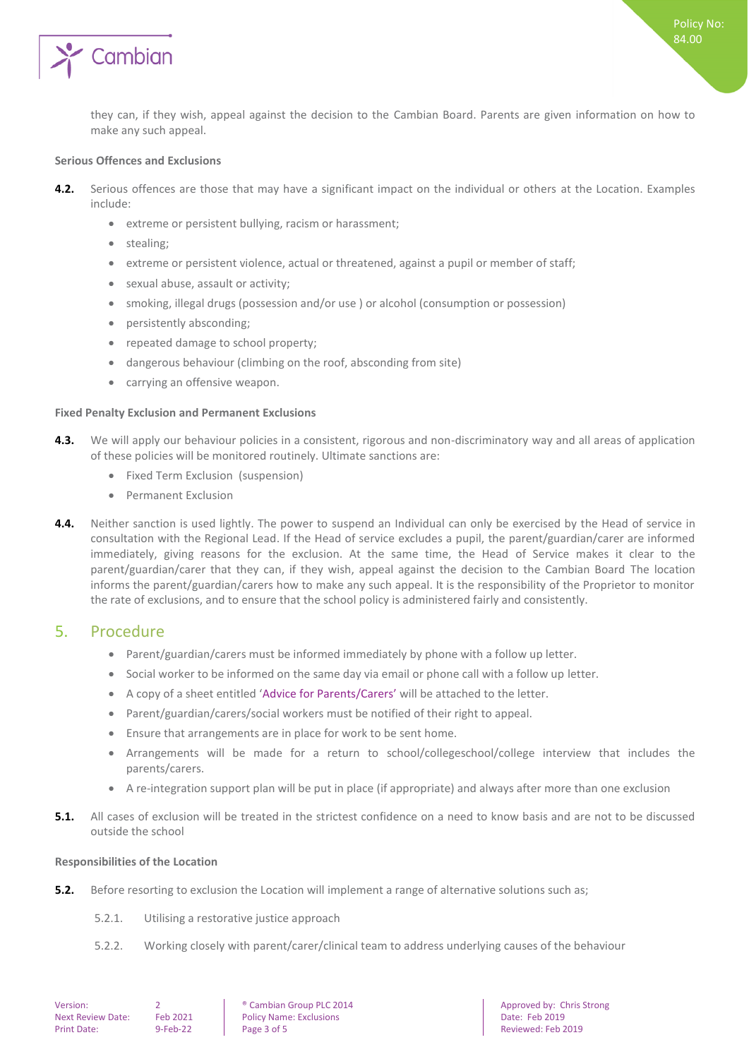

they can, if they wish, appeal against the decision to the Cambian Board. Parents are given information on how to make any such appeal.

#### <span id="page-2-0"></span>**Serious Offences and Exclusions**

- **4.2.** Serious offences are those that may have a significant impact on the individual or others at the Location. Examples include:
	- extreme or persistent bullying, racism or harassment;
	- stealing;
	- extreme or persistent violence, actual or threatened, against a pupil or member of staff;
	- sexual abuse, assault or activity;
	- smoking, illegal drugs (possession and/or use ) or alcohol (consumption or possession)
	- persistently absconding;
	- repeated damage to school property;
	- dangerous behaviour (climbing on the roof, absconding from site)
	- carrying an offensive weapon.

#### <span id="page-2-1"></span>**Fixed Penalty Exclusion and Permanent Exclusions**

- **4.3.** We will apply our behaviour policies in a consistent, rigorous and non-discriminatory way and all areas of application of these policies will be monitored routinely. Ultimate sanctions are:
	- Fixed Term Exclusion (suspension)
	- Permanent Exclusion
- **4.4.** Neither sanction is used lightly. The power to suspend an Individual can only be exercised by the Head of service in consultation with the Regional Lead. If the Head of service excludes a pupil, the parent/guardian/carer are informed immediately, giving reasons for the exclusion. At the same time, the Head of Service makes it clear to the parent/guardian/carer that they can, if they wish, appeal against the decision to the Cambian Board The location informs the parent/guardian/carers how to make any such appeal. It is the responsibility of the Proprietor to monitor the rate of exclusions, and to ensure that the school policy is administered fairly and consistently.

### <span id="page-2-2"></span>5. Procedure

- Parent/guardian/carers must be informed immediately by phone with a follow up letter.
- Social worker to be informed on the same day via email or phone call with a follow up letter.
- A copy of a sheet entitled 'Advice for Parents/Carers' will be attached to the letter.
- Parent/guardian/carers/social workers must be notified of their right to appeal.
- Ensure that arrangements are in place for work to be sent home.
- Arrangements will be made for a return to school/collegeschool/college interview that includes the parents/carers.
- A re-integration support plan will be put in place (if appropriate) and always after more than one exclusion
- **5.1.** All cases of exclusion will be treated in the strictest confidence on a need to know basis and are not to be discussed outside the school

#### <span id="page-2-3"></span>**Responsibilities of the Location**

- **5.2.** Before resorting to exclusion the Location will implement a range of alternative solutions such as;
	- 5.2.1. Utilising a restorative justice approach
	- 5.2.2. Working closely with parent/carer/clinical team to address underlying causes of the behaviour

Next Review Date: Feb 2021 Policy Name: Exclusions Policy Name: Exclusions Policy Name: Exclusions Policy Name: Exclusions Policy Name: Exclusions Policy Name: Exclusions Policy Name: Exclusions Policy Name: Exclusions Pol Print Date: State: State 1 - 9-Feb-22 Page 3 of 5 Reviewed: Feb 2019

Version: 2 **2 a** Cambian Group PLC 2014 **Approved by: Chris Strong PLC 2014** Approved by: Chris Strong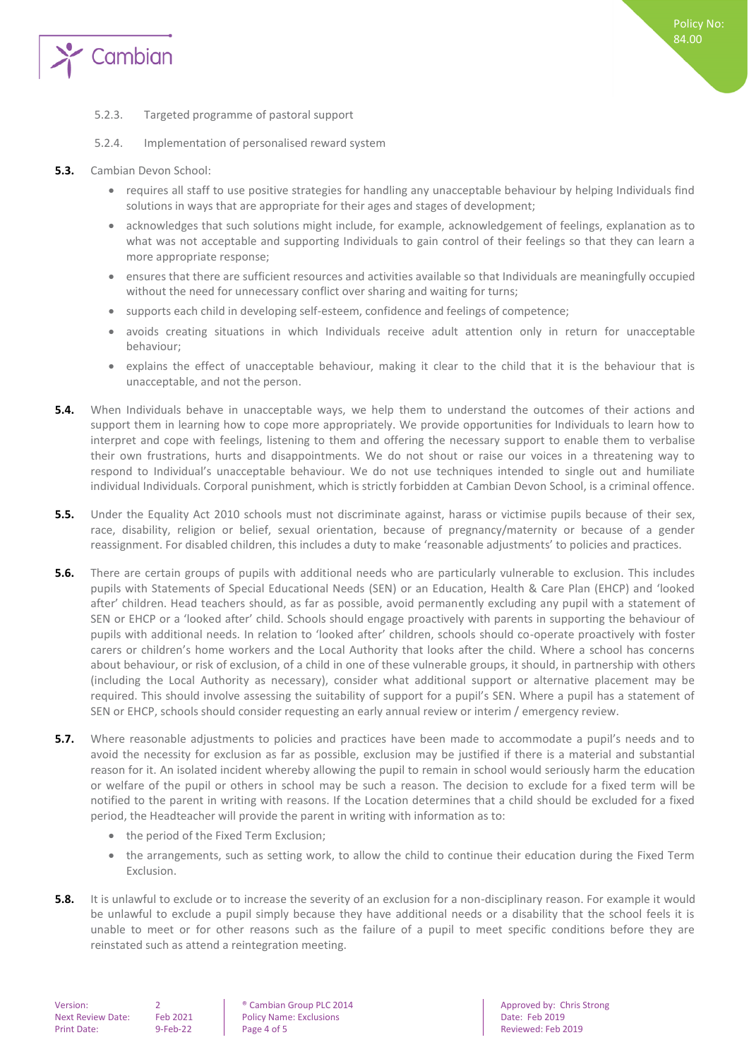

- 5.2.3. Targeted programme of pastoral support
- 5.2.4. Implementation of personalised reward system
- **5.3.** Cambian Devon School:
	- requires all staff to use positive strategies for handling any unacceptable behaviour by helping Individuals find solutions in ways that are appropriate for their ages and stages of development;
	- acknowledges that such solutions might include, for example, acknowledgement of feelings, explanation as to what was not acceptable and supporting Individuals to gain control of their feelings so that they can learn a more appropriate response;
	- ensures that there are sufficient resources and activities available so that Individuals are meaningfully occupied without the need for unnecessary conflict over sharing and waiting for turns;
	- supports each child in developing self-esteem, confidence and feelings of competence;
	- avoids creating situations in which Individuals receive adult attention only in return for unacceptable behaviour;
	- explains the effect of unacceptable behaviour, making it clear to the child that it is the behaviour that is unacceptable, and not the person.
- **5.4.** When Individuals behave in unacceptable ways, we help them to understand the outcomes of their actions and support them in learning how to cope more appropriately. We provide opportunities for Individuals to learn how to interpret and cope with feelings, listening to them and offering the necessary support to enable them to verbalise their own frustrations, hurts and disappointments. We do not shout or raise our voices in a threatening way to respond to Individual's unacceptable behaviour. We do not use techniques intended to single out and humiliate individual Individuals. Corporal punishment, which is strictly forbidden at Cambian Devon School, is a criminal offence.
- **5.5.** Under the Equality Act 2010 schools must not discriminate against, harass or victimise pupils because of their sex, race, disability, religion or belief, sexual orientation, because of pregnancy/maternity or because of a gender reassignment. For disabled children, this includes a duty to make 'reasonable adjustments' to policies and practices.
- **5.6.** There are certain groups of pupils with additional needs who are particularly vulnerable to exclusion. This includes pupils with Statements of Special Educational Needs (SEN) or an Education, Health & Care Plan (EHCP) and 'looked after' children. Head teachers should, as far as possible, avoid permanently excluding any pupil with a statement of SEN or EHCP or a 'looked after' child. Schools should engage proactively with parents in supporting the behaviour of pupils with additional needs. In relation to 'looked after' children, schools should co-operate proactively with foster carers or children's home workers and the Local Authority that looks after the child. Where a school has concerns about behaviour, or risk of exclusion, of a child in one of these vulnerable groups, it should, in partnership with others (including the Local Authority as necessary), consider what additional support or alternative placement may be required. This should involve assessing the suitability of support for a pupil's SEN. Where a pupil has a statement of SEN or EHCP, schools should consider requesting an early annual review or interim / emergency review.
- **5.7.** Where reasonable adjustments to policies and practices have been made to accommodate a pupil's needs and to avoid the necessity for exclusion as far as possible, exclusion may be justified if there is a material and substantial reason for it. An isolated incident whereby allowing the pupil to remain in school would seriously harm the education or welfare of the pupil or others in school may be such a reason. The decision to exclude for a fixed term will be notified to the parent in writing with reasons. If the Location determines that a child should be excluded for a fixed period, the Headteacher will provide the parent in writing with information as to:
	- the period of the Fixed Term Exclusion;
	- the arrangements, such as setting work, to allow the child to continue their education during the Fixed Term Exclusion.
- **5.8.** It is unlawful to exclude or to increase the severity of an exclusion for a non-disciplinary reason. For example it would be unlawful to exclude a pupil simply because they have additional needs or a disability that the school feels it is unable to meet or for other reasons such as the failure of a pupil to meet specific conditions before they are reinstated such as attend a reintegration meeting.

Next Review Date: Feb 2021 | Policy Name: Exclusions | Date: Feb 2019

Version: 2 **2 a** Cambian Group PLC 2014 **Approved by: Chris Strong PLC 2014** Approved by: Chris Strong